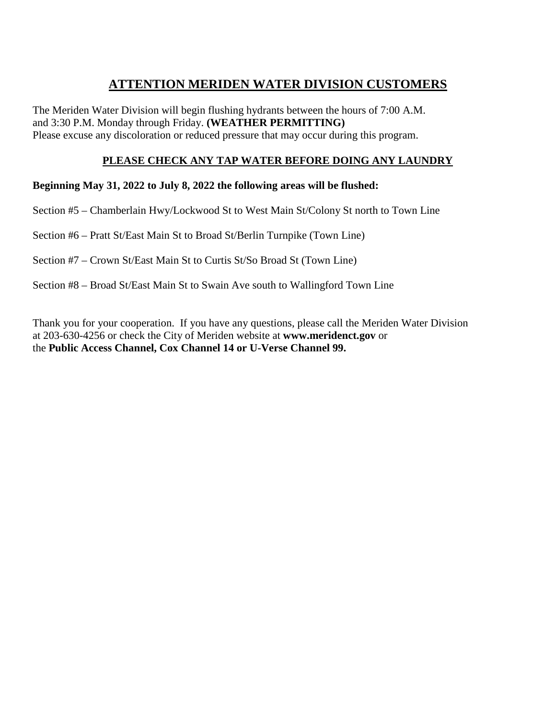# **ATTENTION MERIDEN WATER DIVISION CUSTOMERS**

The Meriden Water Division will begin flushing hydrants between the hours of 7:00 A.M. and 3:30 P.M. Monday through Friday. **(WEATHER PERMITTING)** Please excuse any discoloration or reduced pressure that may occur during this program.

# **PLEASE CHECK ANY TAP WATER BEFORE DOING ANY LAUNDRY**

# **Beginning May 31, 2022 to July 8, 2022 the following areas will be flushed:**

Section #5 – Chamberlain Hwy/Lockwood St to West Main St/Colony St north to Town Line

Section #6 – Pratt St/East Main St to Broad St/Berlin Turnpike (Town Line)

Section #7 – Crown St/East Main St to Curtis St/So Broad St (Town Line)

Section #8 – Broad St/East Main St to Swain Ave south to Wallingford Town Line

Thank you for your cooperation. If you have any questions, please call the Meriden Water Division at 203-630-4256 or check the City of Meriden website at **www.meridenct.gov** or the **Public Access Channel, Cox Channel 14 or U-Verse Channel 99.**